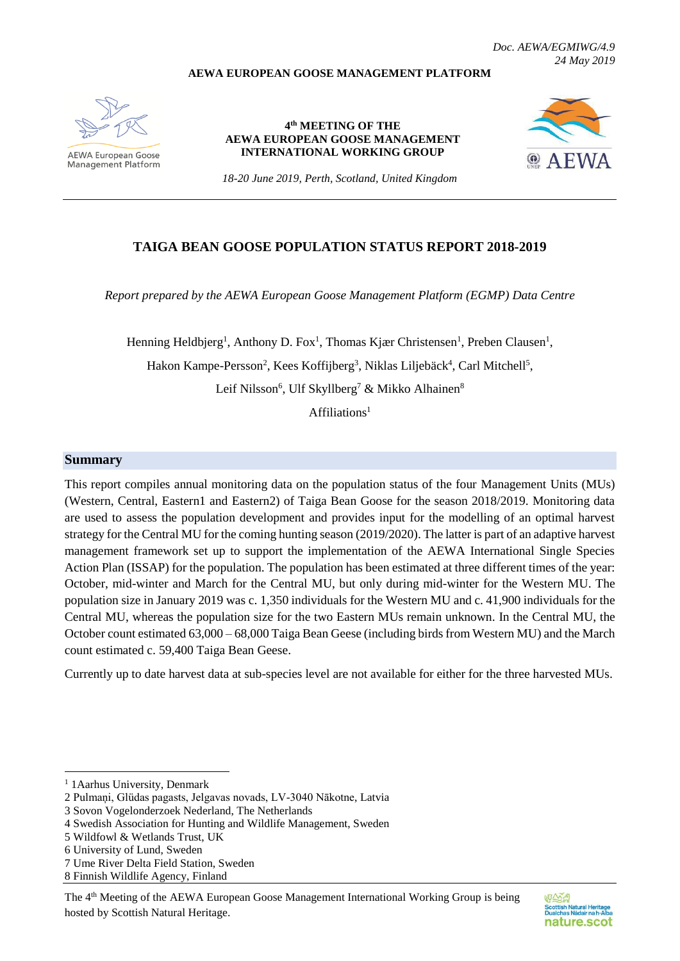#### **AEWA EUROPEAN GOOSE MANAGEMENT PLATFORM**



AFWA European Goose **Management Platform** 

**4 th MEETING OF THE AEWA EUROPEAN GOOSE MANAGEMENT INTERNATIONAL WORKING GROUP**



*18-20 June 2019, Perth, Scotland, United Kingdom*

## **TAIGA BEAN GOOSE POPULATION STATUS REPORT 2018-2019**

*Report prepared by the AEWA European Goose Management Platform (EGMP) Data Centre*

Henning Heldbjerg<sup>1</sup>, Anthony D. Fox<sup>1</sup>, Thomas Kjær Christensen<sup>1</sup>, Preben Clausen<sup>1</sup>, Hakon Kampe-Persson<sup>2</sup>, Kees Koffijberg<sup>3</sup>, Niklas Liljebäck<sup>4</sup>, Carl Mitchell<sup>5</sup>, Leif Nilsson<sup>6</sup>, Ulf Skyllberg<sup>7</sup> & Mikko Alhainen<sup>8</sup>

 $Affiliations<sup>1</sup>$ 

#### **Summary**

This report compiles annual monitoring data on the population status of the four Management Units (MUs) (Western, Central, Eastern1 and Eastern2) of Taiga Bean Goose for the season 2018/2019. Monitoring data are used to assess the population development and provides input for the modelling of an optimal harvest strategy for the Central MU for the coming hunting season (2019/2020). The latter is part of an adaptive harvest management framework set up to support the implementation of the AEWA International Single Species Action Plan (ISSAP) for the population. The population has been estimated at three different times of the year: October, mid-winter and March for the Central MU, but only during mid-winter for the Western MU. The population size in January 2019 was c. 1,350 individuals for the Western MU and c. 41,900 individuals for the Central MU, whereas the population size for the two Eastern MUs remain unknown. In the Central MU, the October count estimated 63,000 – 68,000 Taiga Bean Geese (including birds from Western MU) and the March count estimated c. 59,400 Taiga Bean Geese.

Currently up to date harvest data at sub-species level are not available for either for the three harvested MUs.

1

<sup>&</sup>lt;sup>1</sup> 1 Aarhus University, Denmark

<sup>2</sup> Pulmaņi, Glüdas pagasts, Jelgavas novads, LV-3040 Nākotne, Latvia

<sup>3</sup> Sovon Vogelonderzoek Nederland, The Netherlands

<sup>4</sup> Swedish Association for Hunting and Wildlife Management, Sweden

<sup>5</sup> Wildfowl & Wetlands Trust, UK

<sup>6</sup> University of Lund, Sweden

<sup>7</sup> Ume River Delta Field Station, Sweden

<sup>8</sup> Finnish Wildlife Agency, Finland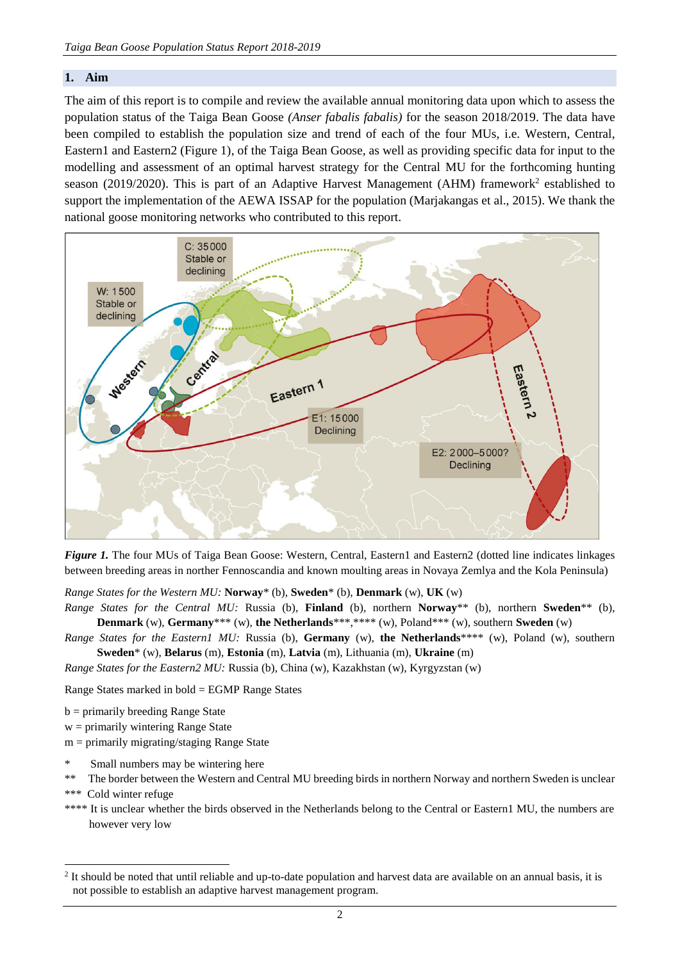#### **1. Aim**

The aim of this report is to compile and review the available annual monitoring data upon which to assess the population status of the Taiga Bean Goose *(Anser fabalis fabalis)* for the season 2018/2019. The data have been compiled to establish the population size and trend of each of the four MUs, i.e. Western, Central, Eastern1 and Eastern2 (Figure 1), of the Taiga Bean Goose, as well as providing specific data for input to the modelling and assessment of an optimal harvest strategy for the Central MU for the forthcoming hunting season (2019/2020). This is part of an Adaptive Harvest Management (AHM) framework<sup>2</sup> established to support the implementation of the AEWA ISSAP for the population (Marjakangas et al., 2015). We thank the national goose monitoring networks who contributed to this report.



*Figure 1*. The four MUs of Taiga Bean Goose: Western, Central, Eastern1 and Eastern2 (dotted line indicates linkages between breeding areas in norther Fennoscandia and known moulting areas in Novaya Zemlya and the Kola Peninsula)

*Range States for the Western MU:* **Norway**\* (b), **Sweden**\* (b), **Denmark** (w), **UK** (w)

- *Range States for the Central MU:* Russia (b), **Finland** (b), northern **Norway**\*\* (b), northern **Sweden**\*\* (b), **Denmark** (w), **Germany**\*\*\* (w), **the Netherlands**\*\*\*,\*\*\*\* (w), Poland\*\*\* (w), southern **Sweden** (w)
- *Range States for the Eastern1 MU:* Russia (b), **Germany** (w), **the Netherlands**\*\*\*\* (w), Poland (w), southern **Sweden**\* (w), **Belarus** (m), **Estonia** (m), **Latvia** (m), Lithuania (m), **Ukraine** (m)

*Range States for the Eastern2 MU:* Russia (b), China (w), Kazakhstan (w), Kyrgyzstan (w)

Range States marked in bold = EGMP Range States

b = primarily breeding Range State

- $w =$  primarily wintering Range State
- m = primarily migrating/staging Range State
- Small numbers may be wintering here
- \*\* The border between the Western and Central MU breeding birds in northern Norway and northern Sweden is unclear
- \*\*\* Cold winter refuge

1

\*\*\*\* It is unclear whether the birds observed in the Netherlands belong to the Central or Eastern1 MU, the numbers are however very low

 $2$  It should be noted that until reliable and up-to-date population and harvest data are available on an annual basis, it is not possible to establish an adaptive harvest management program.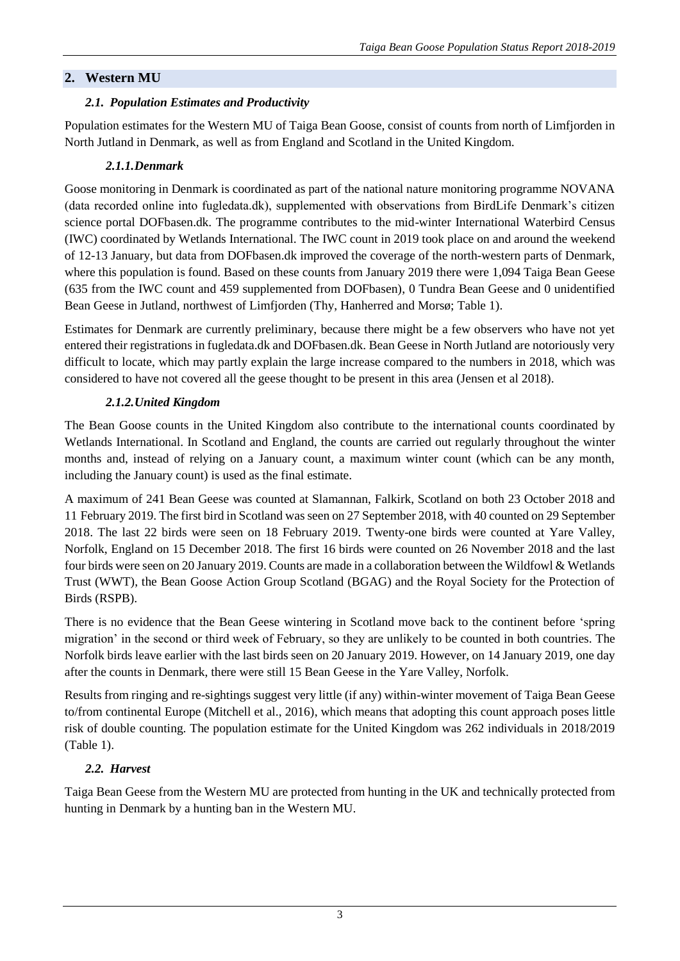# **2. Western MU**

## *2.1. Population Estimates and Productivity*

Population estimates for the Western MU of Taiga Bean Goose, consist of counts from north of Limfjorden in North Jutland in Denmark, as well as from England and Scotland in the United Kingdom.

## *2.1.1.Denmark*

Goose monitoring in Denmark is coordinated as part of the national nature monitoring programme NOVANA (data recorded online into fugledata.dk), supplemented with observations from BirdLife Denmark's citizen science portal DOFbasen.dk. The programme contributes to the mid-winter International Waterbird Census (IWC) coordinated by Wetlands International. The IWC count in 2019 took place on and around the weekend of 12-13 January, but data from DOFbasen.dk improved the coverage of the north-western parts of Denmark, where this population is found. Based on these counts from January 2019 there were 1,094 Taiga Bean Geese (635 from the IWC count and 459 supplemented from DOFbasen), 0 Tundra Bean Geese and 0 unidentified Bean Geese in Jutland, northwest of Limfjorden (Thy, Hanherred and Morsø; Table 1).

Estimates for Denmark are currently preliminary, because there might be a few observers who have not yet entered their registrations in fugledata.dk and DOFbasen.dk. Bean Geese in North Jutland are notoriously very difficult to locate, which may partly explain the large increase compared to the numbers in 2018, which was considered to have not covered all the geese thought to be present in this area (Jensen et al 2018).

# *2.1.2.United Kingdom*

The Bean Goose counts in the United Kingdom also contribute to the international counts coordinated by Wetlands International. In Scotland and England, the counts are carried out regularly throughout the winter months and, instead of relying on a January count, a maximum winter count (which can be any month, including the January count) is used as the final estimate.

A maximum of 241 Bean Geese was counted at Slamannan, Falkirk, Scotland on both 23 October 2018 and 11 February 2019. The first bird in Scotland was seen on 27 September 2018, with 40 counted on 29 September 2018. The last 22 birds were seen on 18 February 2019. Twenty-one birds were counted at Yare Valley, Norfolk, England on 15 December 2018. The first 16 birds were counted on 26 November 2018 and the last four birds were seen on 20 January 2019. Counts are made in a collaboration between the Wildfowl & Wetlands Trust (WWT), the Bean Goose Action Group Scotland (BGAG) and the Royal Society for the Protection of Birds (RSPB).

There is no evidence that the Bean Geese wintering in Scotland move back to the continent before 'spring migration' in the second or third week of February, so they are unlikely to be counted in both countries. The Norfolk birds leave earlier with the last birds seen on 20 January 2019. However, on 14 January 2019, one day after the counts in Denmark, there were still 15 Bean Geese in the Yare Valley, Norfolk.

Results from ringing and re-sightings suggest very little (if any) within-winter movement of Taiga Bean Geese to/from continental Europe (Mitchell et al., 2016), which means that adopting this count approach poses little risk of double counting. The population estimate for the United Kingdom was 262 individuals in 2018/2019 (Table 1).

# *2.2. Harvest*

Taiga Bean Geese from the Western MU are protected from hunting in the UK and technically protected from hunting in Denmark by a hunting ban in the Western MU.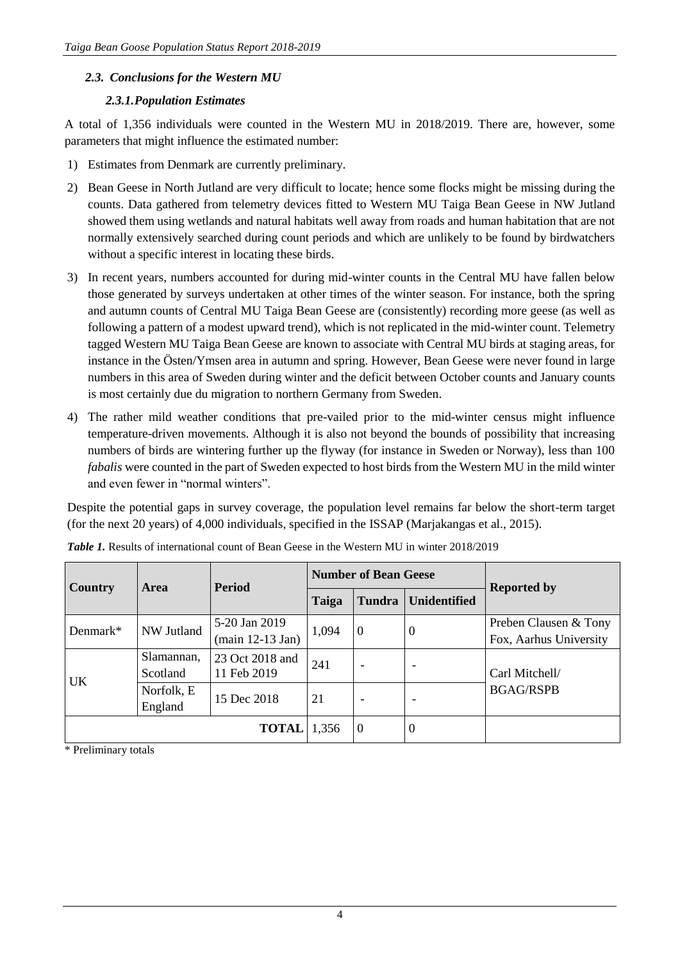## *2.3. Conclusions for the Western MU*

#### *2.3.1.Population Estimates*

A total of 1,356 individuals were counted in the Western MU in 2018/2019. There are, however, some parameters that might influence the estimated number:

- 1) Estimates from Denmark are currently preliminary.
- 2) Bean Geese in North Jutland are very difficult to locate; hence some flocks might be missing during the counts. Data gathered from telemetry devices fitted to Western MU Taiga Bean Geese in NW Jutland showed them using wetlands and natural habitats well away from roads and human habitation that are not normally extensively searched during count periods and which are unlikely to be found by birdwatchers without a specific interest in locating these birds.
- 3) In recent years, numbers accounted for during mid-winter counts in the Central MU have fallen below those generated by surveys undertaken at other times of the winter season. For instance, both the spring and autumn counts of Central MU Taiga Bean Geese are (consistently) recording more geese (as well as following a pattern of a modest upward trend), which is not replicated in the mid-winter count. Telemetry tagged Western MU Taiga Bean Geese are known to associate with Central MU birds at staging areas, for instance in the Östen/Ymsen area in autumn and spring. However, Bean Geese were never found in large numbers in this area of Sweden during winter and the deficit between October counts and January counts is most certainly due du migration to northern Germany from Sweden.
- 4) The rather mild weather conditions that pre-vailed prior to the mid-winter census might influence temperature-driven movements. Although it is also not beyond the bounds of possibility that increasing numbers of birds are wintering further up the flyway (for instance in Sweden or Norway), less than 100 *fabalis* were counted in the part of Sweden expected to host birds from the Western MU in the mild winter and even fewer in "normal winters".

Despite the potential gaps in survey coverage, the population level remains far below the short-term target (for the next 20 years) of 4,000 individuals, specified in the ISSAP (Marjakangas et al., 2015).

| Country                       | Area       | <b>Period</b>                      |                | <b>Number of Bean Geese</b> |                     | <b>Reported by</b>                 |  |
|-------------------------------|------------|------------------------------------|----------------|-----------------------------|---------------------|------------------------------------|--|
|                               |            |                                    | Taiga          | <b>Tundra</b>               | <b>Unidentified</b> |                                    |  |
| NW Jutland<br>Denmark $*$     |            | 5-20 Jan 2019                      |                | $\overline{0}$              | $\boldsymbol{0}$    | Preben Clausen & Tony              |  |
|                               |            | $(\text{main } 12-13 \text{ Jan})$ | 1,094          |                             |                     | Fox, Aarhus University             |  |
| Slamannan,<br>23 Oct 2018 and |            | 241                                |                |                             |                     |                                    |  |
| <b>UK</b>                     | Scotland   | 11 Feb 2019                        |                | -                           |                     | Carl Mitchell/<br><b>BGAG/RSPB</b> |  |
|                               | Norfolk, E | 15 Dec 2018                        | 21             | $\overline{\phantom{a}}$    |                     |                                    |  |
|                               | England    |                                    |                |                             |                     |                                    |  |
|                               | 1,356      | $\overline{0}$                     | $\overline{0}$ |                             |                     |                                    |  |

*Table 1.* Results of international count of Bean Geese in the Western MU in winter 2018/2019

\* Preliminary totals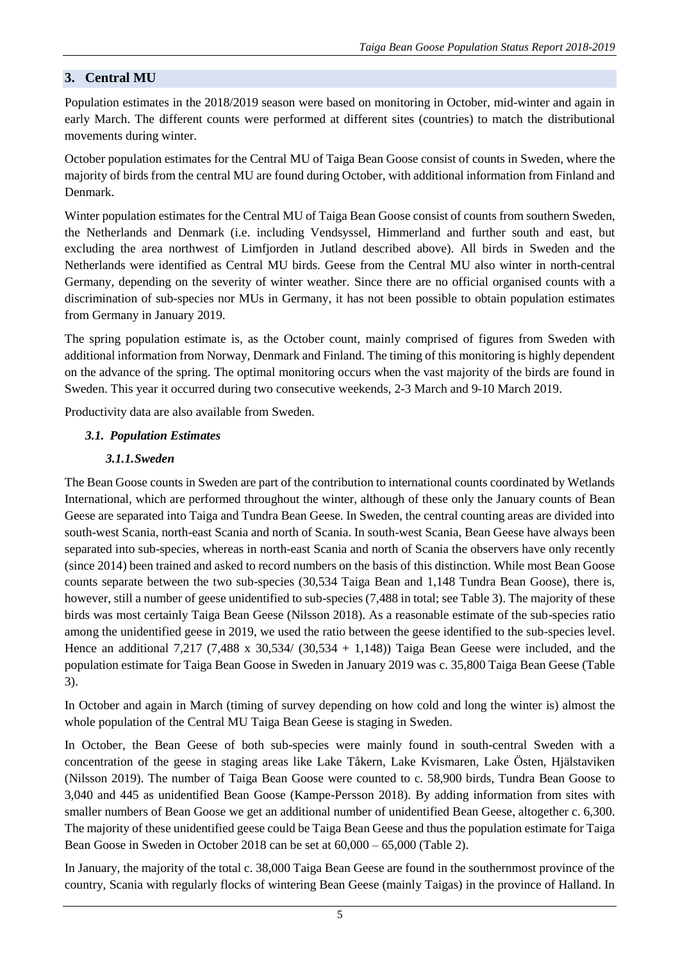# **3. Central MU**

Population estimates in the 2018/2019 season were based on monitoring in October, mid-winter and again in early March. The different counts were performed at different sites (countries) to match the distributional movements during winter.

October population estimates for the Central MU of Taiga Bean Goose consist of counts in Sweden, where the majority of birds from the central MU are found during October, with additional information from Finland and Denmark.

Winter population estimates for the Central MU of Taiga Bean Goose consist of counts from southern Sweden, the Netherlands and Denmark (i.e. including Vendsyssel, Himmerland and further south and east, but excluding the area northwest of Limfjorden in Jutland described above). All birds in Sweden and the Netherlands were identified as Central MU birds. Geese from the Central MU also winter in north-central Germany, depending on the severity of winter weather. Since there are no official organised counts with a discrimination of sub-species nor MUs in Germany, it has not been possible to obtain population estimates from Germany in January 2019.

The spring population estimate is, as the October count, mainly comprised of figures from Sweden with additional information from Norway, Denmark and Finland. The timing of this monitoring is highly dependent on the advance of the spring. The optimal monitoring occurs when the vast majority of the birds are found in Sweden. This year it occurred during two consecutive weekends, 2-3 March and 9-10 March 2019.

Productivity data are also available from Sweden.

## *3.1. Population Estimates*

#### *3.1.1.Sweden*

The Bean Goose counts in Sweden are part of the contribution to international counts coordinated by Wetlands International, which are performed throughout the winter, although of these only the January counts of Bean Geese are separated into Taiga and Tundra Bean Geese. In Sweden, the central counting areas are divided into south-west Scania, north-east Scania and north of Scania. In south-west Scania, Bean Geese have always been separated into sub-species, whereas in north-east Scania and north of Scania the observers have only recently (since 2014) been trained and asked to record numbers on the basis of this distinction. While most Bean Goose counts separate between the two sub-species (30,534 Taiga Bean and 1,148 Tundra Bean Goose), there is, however, still a number of geese unidentified to sub-species (7,488 in total; see Table 3). The majority of these birds was most certainly Taiga Bean Geese (Nilsson 2018). As a reasonable estimate of the sub-species ratio among the unidentified geese in 2019, we used the ratio between the geese identified to the sub-species level. Hence an additional 7,217 (7,488 x 30,534/ (30,534 + 1,148)) Taiga Bean Geese were included, and the population estimate for Taiga Bean Goose in Sweden in January 2019 was c. 35,800 Taiga Bean Geese (Table 3).

In October and again in March (timing of survey depending on how cold and long the winter is) almost the whole population of the Central MU Taiga Bean Geese is staging in Sweden.

In October, the Bean Geese of both sub-species were mainly found in south-central Sweden with a concentration of the geese in staging areas like Lake Tåkern, Lake Kvismaren, Lake Östen, Hjälstaviken (Nilsson 2019). The number of Taiga Bean Goose were counted to c. 58,900 birds, Tundra Bean Goose to 3,040 and 445 as unidentified Bean Goose (Kampe-Persson 2018). By adding information from sites with smaller numbers of Bean Goose we get an additional number of unidentified Bean Geese, altogether c. 6,300. The majority of these unidentified geese could be Taiga Bean Geese and thus the population estimate for Taiga Bean Goose in Sweden in October 2018 can be set at 60,000 – 65,000 (Table 2).

In January, the majority of the total c. 38,000 Taiga Bean Geese are found in the southernmost province of the country, Scania with regularly flocks of wintering Bean Geese (mainly Taigas) in the province of Halland. In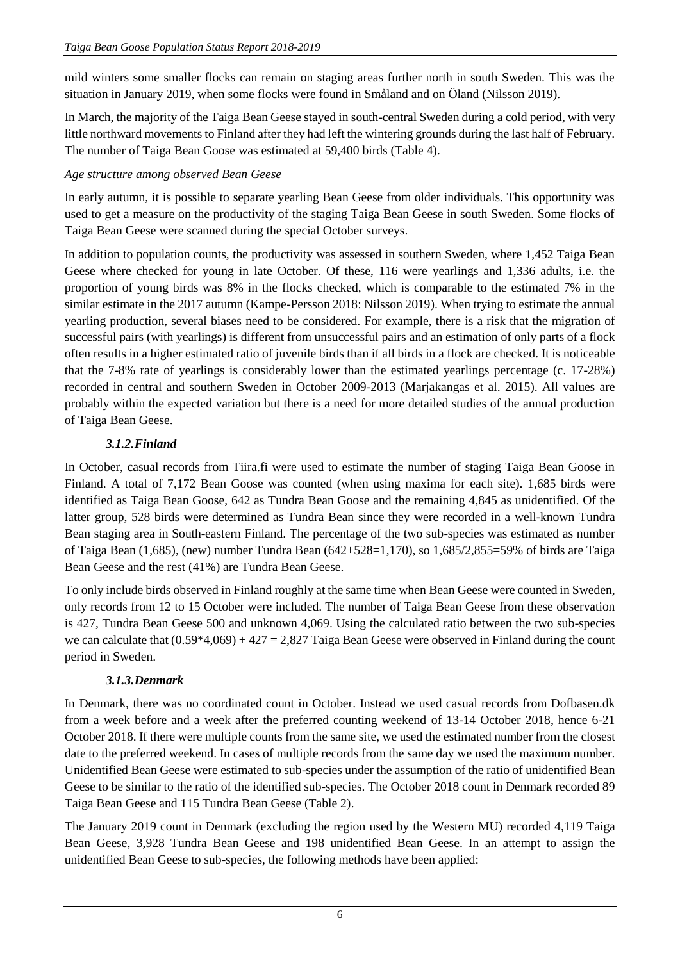mild winters some smaller flocks can remain on staging areas further north in south Sweden. This was the situation in January 2019, when some flocks were found in Småland and on Öland (Nilsson 2019).

In March, the majority of the Taiga Bean Geese stayed in south-central Sweden during a cold period, with very little northward movements to Finland after they had left the wintering grounds during the last half of February. The number of Taiga Bean Goose was estimated at 59,400 birds (Table 4).

## *Age structure among observed Bean Geese*

In early autumn, it is possible to separate yearling Bean Geese from older individuals. This opportunity was used to get a measure on the productivity of the staging Taiga Bean Geese in south Sweden. Some flocks of Taiga Bean Geese were scanned during the special October surveys.

In addition to population counts, the productivity was assessed in southern Sweden, where 1,452 Taiga Bean Geese where checked for young in late October. Of these, 116 were yearlings and 1,336 adults, i.e. the proportion of young birds was 8% in the flocks checked, which is comparable to the estimated 7% in the similar estimate in the 2017 autumn (Kampe-Persson 2018: Nilsson 2019). When trying to estimate the annual yearling production, several biases need to be considered. For example, there is a risk that the migration of successful pairs (with yearlings) is different from unsuccessful pairs and an estimation of only parts of a flock often results in a higher estimated ratio of juvenile birds than if all birds in a flock are checked. It is noticeable that the 7-8% rate of yearlings is considerably lower than the estimated yearlings percentage (c. 17-28%) recorded in central and southern Sweden in October 2009-2013 (Marjakangas et al. 2015). All values are probably within the expected variation but there is a need for more detailed studies of the annual production of Taiga Bean Geese.

# *3.1.2.Finland*

In October, casual records from Tiira.fi were used to estimate the number of staging Taiga Bean Goose in Finland. A total of 7,172 Bean Goose was counted (when using maxima for each site). 1,685 birds were identified as Taiga Bean Goose, 642 as Tundra Bean Goose and the remaining 4,845 as unidentified. Of the latter group, 528 birds were determined as Tundra Bean since they were recorded in a well-known Tundra Bean staging area in South-eastern Finland. The percentage of the two sub-species was estimated as number of Taiga Bean (1,685), (new) number Tundra Bean (642+528=1,170), so 1,685/2,855=59% of birds are Taiga Bean Geese and the rest (41%) are Tundra Bean Geese.

To only include birds observed in Finland roughly at the same time when Bean Geese were counted in Sweden, only records from 12 to 15 October were included. The number of Taiga Bean Geese from these observation is 427, Tundra Bean Geese 500 and unknown 4,069. Using the calculated ratio between the two sub-species we can calculate that  $(0.59*4,069) + 427 = 2,827$  Taiga Bean Geese were observed in Finland during the count period in Sweden.

# *3.1.3.Denmark*

In Denmark, there was no coordinated count in October. Instead we used casual records from Dofbasen.dk from a week before and a week after the preferred counting weekend of 13-14 October 2018, hence 6-21 October 2018. If there were multiple counts from the same site, we used the estimated number from the closest date to the preferred weekend. In cases of multiple records from the same day we used the maximum number. Unidentified Bean Geese were estimated to sub-species under the assumption of the ratio of unidentified Bean Geese to be similar to the ratio of the identified sub-species. The October 2018 count in Denmark recorded 89 Taiga Bean Geese and 115 Tundra Bean Geese (Table 2).

The January 2019 count in Denmark (excluding the region used by the Western MU) recorded 4,119 Taiga Bean Geese, 3,928 Tundra Bean Geese and 198 unidentified Bean Geese. In an attempt to assign the unidentified Bean Geese to sub-species, the following methods have been applied: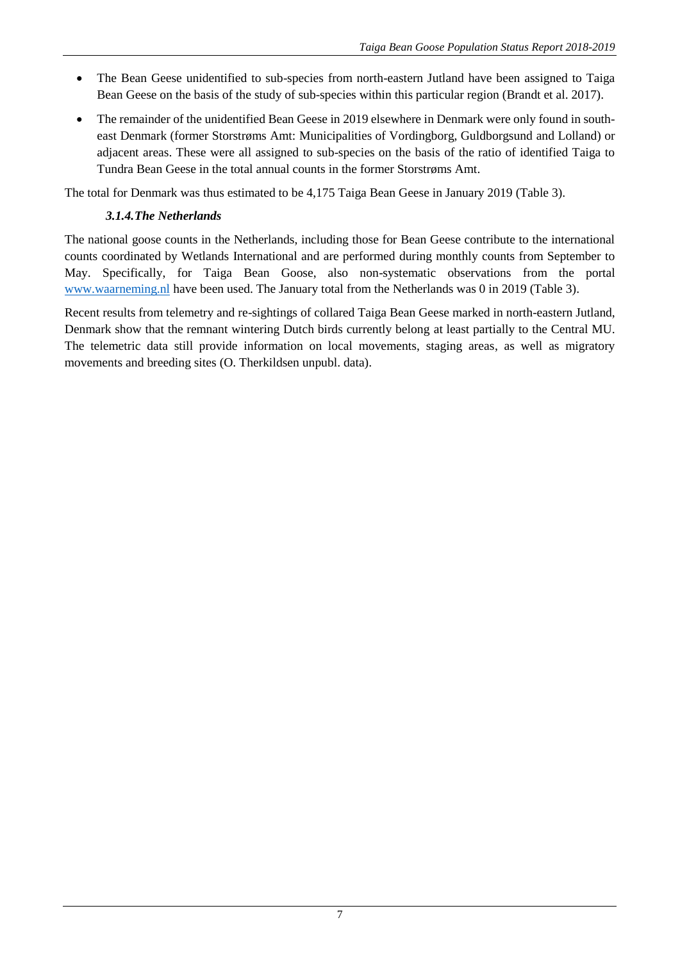- The Bean Geese unidentified to sub-species from north-eastern Jutland have been assigned to Taiga Bean Geese on the basis of the study of sub-species within this particular region (Brandt et al. 2017).
- The remainder of the unidentified Bean Geese in 2019 elsewhere in Denmark were only found in southeast Denmark (former Storstrøms Amt: Municipalities of Vordingborg, Guldborgsund and Lolland) or adjacent areas. These were all assigned to sub-species on the basis of the ratio of identified Taiga to Tundra Bean Geese in the total annual counts in the former Storstrøms Amt.

The total for Denmark was thus estimated to be 4,175 Taiga Bean Geese in January 2019 (Table 3).

## *3.1.4.The Netherlands*

The national goose counts in the Netherlands, including those for Bean Geese contribute to the international counts coordinated by Wetlands International and are performed during monthly counts from September to May. Specifically, for Taiga Bean Goose, also non-systematic observations from the portal [www.waarneming.nl](http://www.waarneming.nl/) have been used. The January total from the Netherlands was 0 in 2019 (Table 3).

Recent results from telemetry and re-sightings of collared Taiga Bean Geese marked in north-eastern Jutland, Denmark show that the remnant wintering Dutch birds currently belong at least partially to the Central MU. The telemetric data still provide information on local movements, staging areas, as well as migratory movements and breeding sites (O. Therkildsen unpubl. data).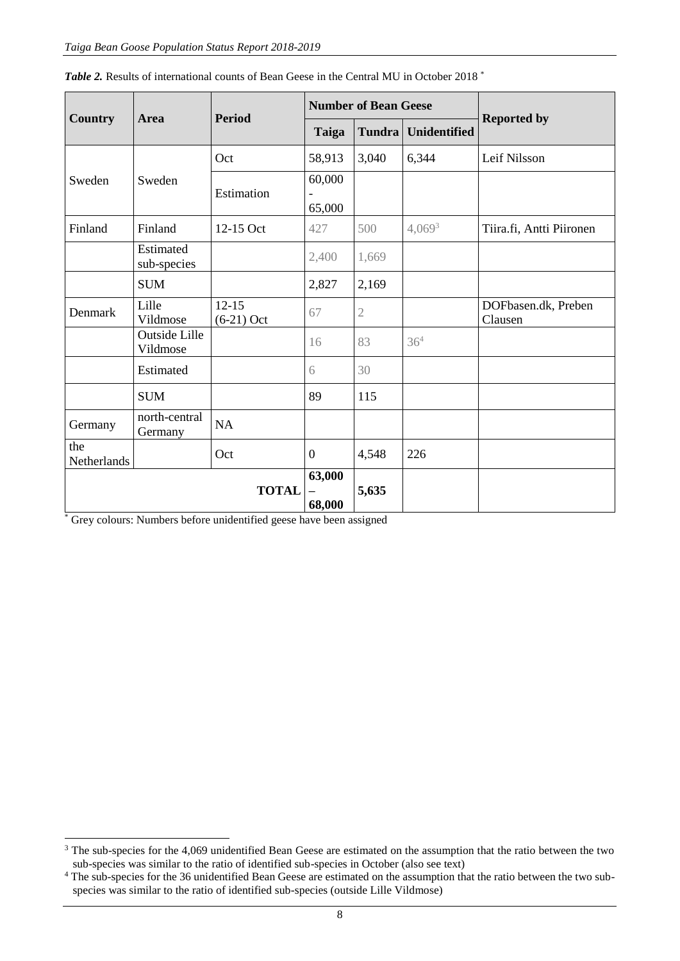|                    |                                  | <b>Period</b>           |                                              | <b>Number of Bean Geese</b> |                     |                                |  |
|--------------------|----------------------------------|-------------------------|----------------------------------------------|-----------------------------|---------------------|--------------------------------|--|
| <b>Country</b>     | Area                             |                         | Taiga                                        | Tundra                      | <b>Unidentified</b> | <b>Reported by</b>             |  |
|                    |                                  | Oct                     | 58,913                                       | 3,040                       | 6,344               | Leif Nilsson                   |  |
| Sweden             | Sweden                           | Estimation              | 60,000<br>$\overline{\phantom{0}}$<br>65,000 |                             |                     |                                |  |
| Finland            | Finland                          | 12-15 Oct               | 427                                          | 500                         | $4,069^3$           | Tiira.fi, Antti Piironen       |  |
|                    | Estimated<br>sub-species         |                         | 2,400                                        | 1,669                       |                     |                                |  |
|                    | <b>SUM</b>                       |                         | 2,827                                        | 2,169                       |                     |                                |  |
| Denmark            | Lille<br>Vildmose                | $12-15$<br>$(6-21)$ Oct | 67                                           | $\mathfrak 2$               |                     | DOFbasen.dk, Preben<br>Clausen |  |
|                    | <b>Outside Lille</b><br>Vildmose |                         | 16                                           | 83                          | 36 <sup>4</sup>     |                                |  |
|                    | Estimated                        |                         | 6                                            | 30                          |                     |                                |  |
|                    | <b>SUM</b>                       |                         | 89                                           | 115                         |                     |                                |  |
| Germany            | north-central<br>Germany         | <b>NA</b>               |                                              |                             |                     |                                |  |
| the<br>Netherlands |                                  | Oct                     | $\overline{0}$                               | 4,548                       | 226                 |                                |  |
| <b>TOTAL</b>       |                                  |                         | 63,000<br>68,000                             | 5,635                       |                     |                                |  |

|  | <b>Table 2.</b> Results of international counts of Bean Geese in the Central MU in October 2018 <sup>*</sup> |  |  |  |  |
|--|--------------------------------------------------------------------------------------------------------------|--|--|--|--|
|  |                                                                                                              |  |  |  |  |

\* Grey colours: Numbers before unidentified geese have been assigned

1

<sup>&</sup>lt;sup>3</sup> The sub-species for the 4,069 unidentified Bean Geese are estimated on the assumption that the ratio between the two sub-species was similar to the ratio of identified sub-species in October (also see text)

<sup>&</sup>lt;sup>4</sup> The sub-species for the 36 unidentified Bean Geese are estimated on the assumption that the ratio between the two subspecies was similar to the ratio of identified sub-species (outside Lille Vildmose)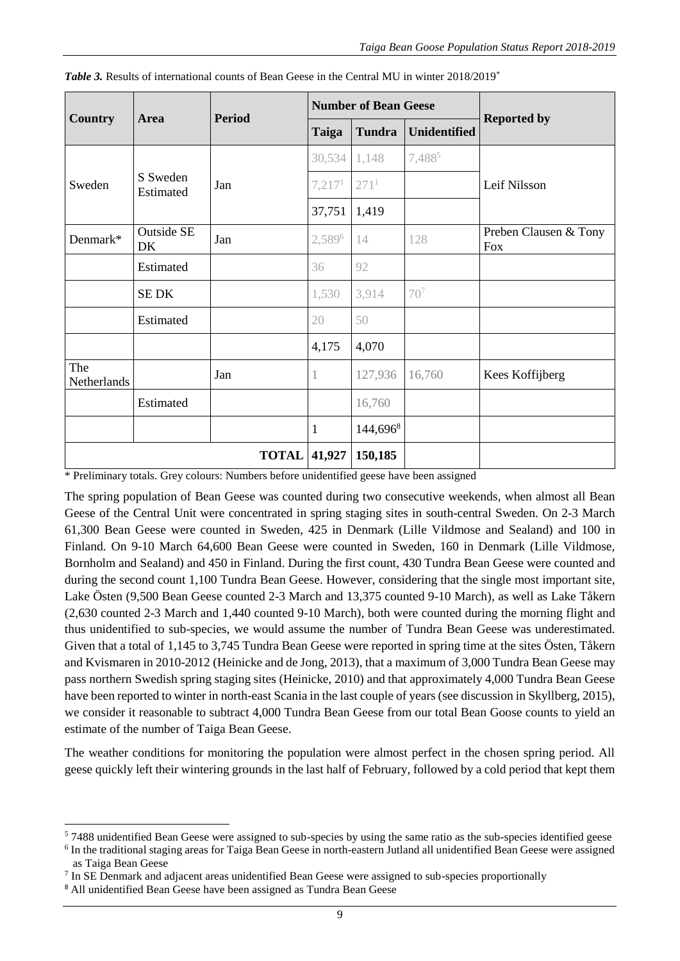|                    |                         | <b>Period</b> |                    | <b>Number of Bean Geese</b> |                     |                                     |  |
|--------------------|-------------------------|---------------|--------------------|-----------------------------|---------------------|-------------------------------------|--|
| <b>Country</b>     | Area                    |               | <b>Taiga</b>       | <b>Tundra</b>               | <b>Unidentified</b> | <b>Reported by</b>                  |  |
|                    |                         |               | 30,534             | 1,148                       | 7,4885              |                                     |  |
| Sweden             | S Sweden<br>Estimated   | Jan           | 7,217 <sup>1</sup> | 271 <sup>1</sup>            |                     | Leif Nilsson                        |  |
|                    |                         |               | 37,751             | 1,419                       |                     |                                     |  |
| Denmark*           | <b>Outside SE</b><br>DK | Jan           | 2,5896             | 14                          | 128                 | Preben Clausen & Tony<br><b>Fox</b> |  |
|                    | Estimated               |               | 36                 | 92                          |                     |                                     |  |
|                    | <b>SEDK</b>             |               | 1,530              | 3,914                       | 70 <sup>7</sup>     |                                     |  |
|                    | Estimated               |               | 20                 | 50                          |                     |                                     |  |
|                    |                         |               | 4,175              | 4,070                       |                     |                                     |  |
| The<br>Netherlands |                         | Jan           | 1                  | 127,936                     | 16,760              | Kees Koffijberg                     |  |
|                    | Estimated               |               |                    | 16,760                      |                     |                                     |  |
|                    |                         |               | $\mathbf{1}$       | 144,696 <sup>8</sup>        |                     |                                     |  |
| <b>TOTAL</b>       |                         |               | 41,927             | 150,185                     |                     |                                     |  |

|  |  |  | <b>Table 3.</b> Results of international counts of Bean Geese in the Central MU in winter 2018/2019 <sup>*</sup> |
|--|--|--|------------------------------------------------------------------------------------------------------------------|
|--|--|--|------------------------------------------------------------------------------------------------------------------|

\* Preliminary totals. Grey colours: Numbers before unidentified geese have been assigned

The spring population of Bean Geese was counted during two consecutive weekends, when almost all Bean Geese of the Central Unit were concentrated in spring staging sites in south-central Sweden. On 2-3 March 61,300 Bean Geese were counted in Sweden, 425 in Denmark (Lille Vildmose and Sealand) and 100 in Finland. On 9-10 March 64,600 Bean Geese were counted in Sweden, 160 in Denmark (Lille Vildmose, Bornholm and Sealand) and 450 in Finland. During the first count, 430 Tundra Bean Geese were counted and during the second count 1,100 Tundra Bean Geese. However, considering that the single most important site, Lake Östen (9,500 Bean Geese counted 2-3 March and 13,375 counted 9-10 March), as well as Lake Tåkern (2,630 counted 2-3 March and 1,440 counted 9-10 March), both were counted during the morning flight and thus unidentified to sub-species, we would assume the number of Tundra Bean Geese was underestimated. Given that a total of 1,145 to 3,745 Tundra Bean Geese were reported in spring time at the sites Östen, Tåkern and Kvismaren in 2010-2012 (Heinicke and de Jong, 2013), that a maximum of 3,000 Tundra Bean Geese may pass northern Swedish spring staging sites (Heinicke, 2010) and that approximately 4,000 Tundra Bean Geese have been reported to winter in north-east Scania in the last couple of years (see discussion in Skyllberg, 2015), we consider it reasonable to subtract 4,000 Tundra Bean Geese from our total Bean Goose counts to yield an estimate of the number of Taiga Bean Geese.

The weather conditions for monitoring the population were almost perfect in the chosen spring period. All geese quickly left their wintering grounds in the last half of February, followed by a cold period that kept them

<sup>1</sup> <sup>5</sup> 7488 unidentified Bean Geese were assigned to sub-species by using the same ratio as the sub-species identified geese

<sup>&</sup>lt;sup>6</sup> In the traditional staging areas for Taiga Bean Geese in north-eastern Jutland all unidentified Bean Geese were assigned as Taiga Bean Geese

<sup>&</sup>lt;sup>7</sup> In SE Denmark and adjacent areas unidentified Bean Geese were assigned to sub-species proportionally

<sup>8</sup> All unidentified Bean Geese have been assigned as Tundra Bean Geese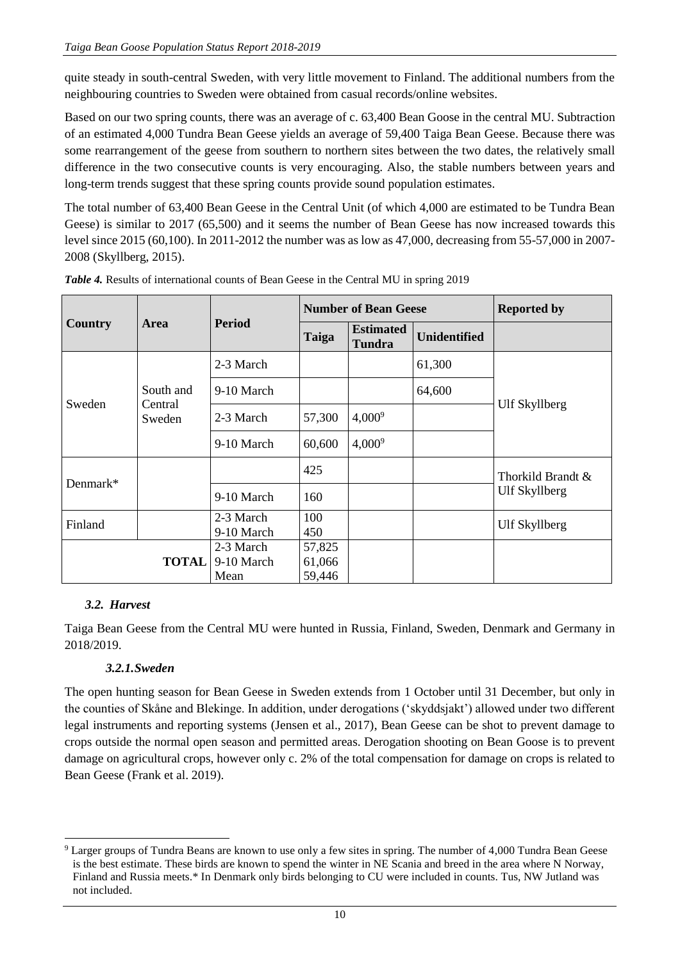quite steady in south-central Sweden, with very little movement to Finland. The additional numbers from the neighbouring countries to Sweden were obtained from casual records/online websites.

Based on our two spring counts, there was an average of c. 63,400 Bean Goose in the central MU. Subtraction of an estimated 4,000 Tundra Bean Geese yields an average of 59,400 Taiga Bean Geese. Because there was some rearrangement of the geese from southern to northern sites between the two dates, the relatively small difference in the two consecutive counts is very encouraging. Also, the stable numbers between years and long-term trends suggest that these spring counts provide sound population estimates.

The total number of 63,400 Bean Geese in the Central Unit (of which 4,000 are estimated to be Tundra Bean Geese) is similar to 2017 (65,500) and it seems the number of Bean Geese has now increased towards this level since 2015 (60,100). In 2011-2012 the number was as low as 47,000, decreasing from 55-57,000 in 2007- 2008 (Skyllberg, 2015).

|              |                   |                                 |                            | <b>Number of Bean Geese</b>       | <b>Reported by</b>  |                   |  |
|--------------|-------------------|---------------------------------|----------------------------|-----------------------------------|---------------------|-------------------|--|
| Country      | <b>Area</b>       | <b>Period</b>                   | Taiga                      | <b>Estimated</b><br><b>Tundra</b> | <b>Unidentified</b> |                   |  |
|              |                   | 2-3 March                       |                            |                                   | 61,300              |                   |  |
|              | South and         | 9-10 March                      |                            |                                   | 64,600              |                   |  |
| Sweden       | Central<br>Sweden | 2-3 March                       | 57,300                     | $4,000^9$                         |                     | Ulf Skyllberg     |  |
|              |                   | 9-10 March                      | 60,600                     | $4,000^9$                         |                     |                   |  |
|              |                   |                                 | 425                        |                                   |                     | Thorkild Brandt & |  |
| Denmark $*$  |                   | 9-10 March                      | 160                        |                                   |                     | Ulf Skyllberg     |  |
| Finland      |                   | 2-3 March<br>9-10 March         | 100<br>450                 |                                   |                     | Ulf Skyllberg     |  |
| <b>TOTAL</b> |                   | 2-3 March<br>9-10 March<br>Mean | 57,825<br>61,066<br>59,446 |                                   |                     |                   |  |

*Table 4.* Results of international counts of Bean Geese in the Central MU in spring 2019

## *3.2. Harvest*

1

Taiga Bean Geese from the Central MU were hunted in Russia, Finland, Sweden, Denmark and Germany in 2018/2019.

## *3.2.1.Sweden*

The open hunting season for Bean Geese in Sweden extends from 1 October until 31 December, but only in the counties of Skåne and Blekinge. In addition, under derogations ('skyddsjakt') allowed under two different legal instruments and reporting systems (Jensen et al., 2017), Bean Geese can be shot to prevent damage to crops outside the normal open season and permitted areas. Derogation shooting on Bean Goose is to prevent damage on agricultural crops, however only c. 2% of the total compensation for damage on crops is related to Bean Geese (Frank et al. 2019).

<sup>&</sup>lt;sup>9</sup> Larger groups of Tundra Beans are known to use only a few sites in spring. The number of 4,000 Tundra Bean Geese is the best estimate. These birds are known to spend the winter in NE Scania and breed in the area where N Norway, Finland and Russia meets.\* In Denmark only birds belonging to CU were included in counts. Tus, NW Jutland was not included.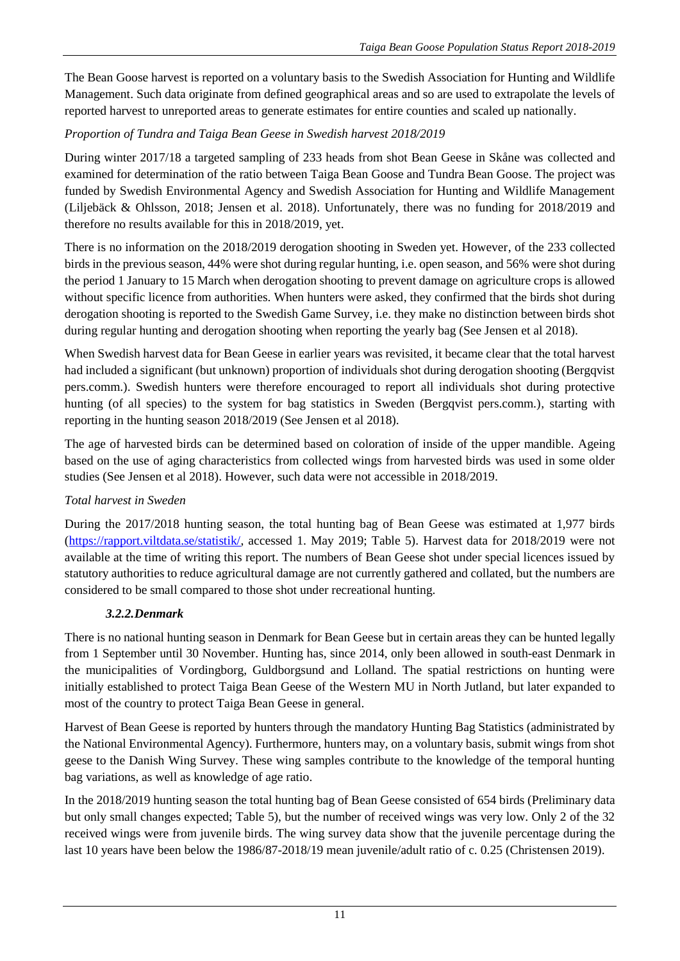The Bean Goose harvest is reported on a voluntary basis to the Swedish Association for Hunting and Wildlife Management. Such data originate from defined geographical areas and so are used to extrapolate the levels of reported harvest to unreported areas to generate estimates for entire counties and scaled up nationally.

# *Proportion of Tundra and Taiga Bean Geese in Swedish harvest 2018/2019*

During winter 2017/18 a targeted sampling of 233 heads from shot Bean Geese in Skåne was collected and examined for determination of the ratio between Taiga Bean Goose and Tundra Bean Goose. The project was funded by Swedish Environmental Agency and Swedish Association for Hunting and Wildlife Management (Liljebäck & Ohlsson, 2018; Jensen et al. 2018). Unfortunately, there was no funding for 2018/2019 and therefore no results available for this in 2018/2019, yet.

There is no information on the 2018/2019 derogation shooting in Sweden yet. However, of the 233 collected birds in the previous season, 44% were shot during regular hunting, i.e. open season, and 56% were shot during the period 1 January to 15 March when derogation shooting to prevent damage on agriculture crops is allowed without specific licence from authorities. When hunters were asked, they confirmed that the birds shot during derogation shooting is reported to the Swedish Game Survey, i.e. they make no distinction between birds shot during regular hunting and derogation shooting when reporting the yearly bag (See Jensen et al 2018).

When Swedish harvest data for Bean Geese in earlier years was revisited, it became clear that the total harvest had included a significant (but unknown) proportion of individuals shot during derogation shooting (Bergqvist pers.comm.). Swedish hunters were therefore encouraged to report all individuals shot during protective hunting (of all species) to the system for bag statistics in Sweden (Bergqvist pers.comm.), starting with reporting in the hunting season 2018/2019 (See Jensen et al 2018).

The age of harvested birds can be determined based on coloration of inside of the upper mandible. Ageing based on the use of aging characteristics from collected wings from harvested birds was used in some older studies (See Jensen et al 2018). However, such data were not accessible in 2018/2019.

# *Total harvest in Sweden*

During the 2017/2018 hunting season, the total hunting bag of Bean Geese was estimated at 1,977 birds [\(https://rapport.viltdata.se/statistik/,](https://rapport.viltdata.se/statistik/) accessed 1. May 2019; Table 5). Harvest data for 2018/2019 were not available at the time of writing this report. The numbers of Bean Geese shot under special licences issued by statutory authorities to reduce agricultural damage are not currently gathered and collated, but the numbers are considered to be small compared to those shot under recreational hunting.

# *3.2.2.Denmark*

There is no national hunting season in Denmark for Bean Geese but in certain areas they can be hunted legally from 1 September until 30 November. Hunting has, since 2014, only been allowed in south-east Denmark in the municipalities of Vordingborg, Guldborgsund and Lolland. The spatial restrictions on hunting were initially established to protect Taiga Bean Geese of the Western MU in North Jutland, but later expanded to most of the country to protect Taiga Bean Geese in general.

Harvest of Bean Geese is reported by hunters through the mandatory Hunting Bag Statistics (administrated by the National Environmental Agency). Furthermore, hunters may, on a voluntary basis, submit wings from shot geese to the Danish Wing Survey. These wing samples contribute to the knowledge of the temporal hunting bag variations, as well as knowledge of age ratio.

In the 2018/2019 hunting season the total hunting bag of Bean Geese consisted of 654 birds (Preliminary data but only small changes expected; Table 5), but the number of received wings was very low. Only 2 of the 32 received wings were from juvenile birds. The wing survey data show that the juvenile percentage during the last 10 years have been below the 1986/87-2018/19 mean juvenile/adult ratio of c. 0.25 (Christensen 2019).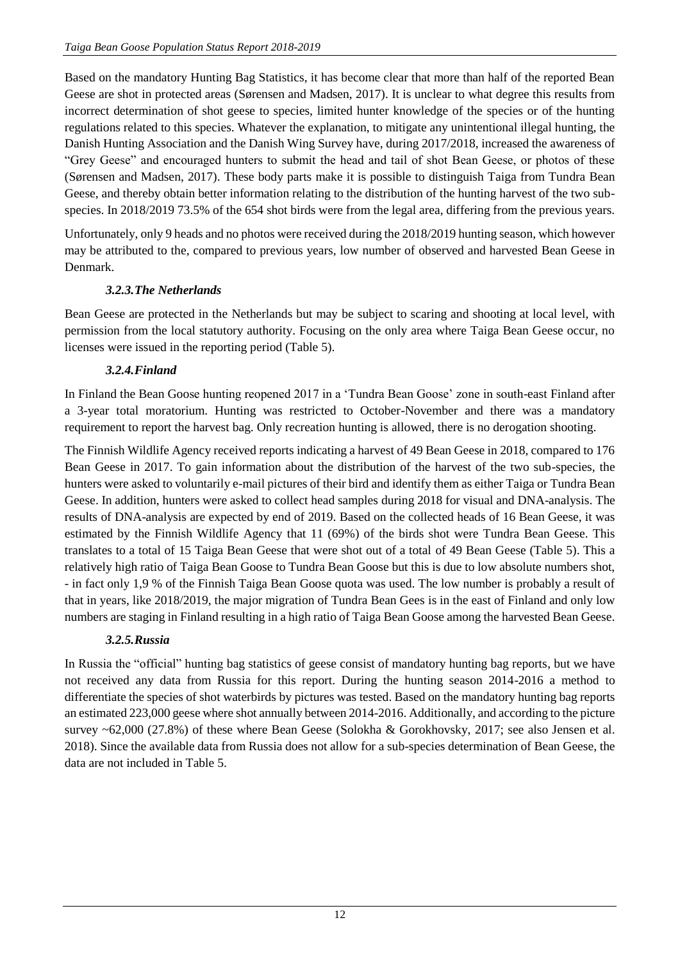Based on the mandatory Hunting Bag Statistics, it has become clear that more than half of the reported Bean Geese are shot in protected areas (Sørensen and Madsen, 2017). It is unclear to what degree this results from incorrect determination of shot geese to species, limited hunter knowledge of the species or of the hunting regulations related to this species. Whatever the explanation, to mitigate any unintentional illegal hunting, the Danish Hunting Association and the Danish Wing Survey have, during 2017/2018, increased the awareness of "Grey Geese" and encouraged hunters to submit the head and tail of shot Bean Geese, or photos of these (Sørensen and Madsen, 2017). These body parts make it is possible to distinguish Taiga from Tundra Bean Geese, and thereby obtain better information relating to the distribution of the hunting harvest of the two subspecies. In 2018/2019 73.5% of the 654 shot birds were from the legal area, differing from the previous years.

Unfortunately, only 9 heads and no photos were received during the 2018/2019 hunting season, which however may be attributed to the, compared to previous years, low number of observed and harvested Bean Geese in Denmark.

## *3.2.3.The Netherlands*

Bean Geese are protected in the Netherlands but may be subject to scaring and shooting at local level, with permission from the local statutory authority. Focusing on the only area where Taiga Bean Geese occur, no licenses were issued in the reporting period (Table 5).

## *3.2.4.Finland*

In Finland the Bean Goose hunting reopened 2017 in a 'Tundra Bean Goose' zone in south-east Finland after a 3-year total moratorium. Hunting was restricted to October-November and there was a mandatory requirement to report the harvest bag. Only recreation hunting is allowed, there is no derogation shooting.

The Finnish Wildlife Agency received reports indicating a harvest of 49 Bean Geese in 2018, compared to 176 Bean Geese in 2017. To gain information about the distribution of the harvest of the two sub-species, the hunters were asked to voluntarily e-mail pictures of their bird and identify them as either Taiga or Tundra Bean Geese. In addition, hunters were asked to collect head samples during 2018 for visual and DNA-analysis. The results of DNA-analysis are expected by end of 2019. Based on the collected heads of 16 Bean Geese, it was estimated by the Finnish Wildlife Agency that 11 (69%) of the birds shot were Tundra Bean Geese. This translates to a total of 15 Taiga Bean Geese that were shot out of a total of 49 Bean Geese (Table 5). This a relatively high ratio of Taiga Bean Goose to Tundra Bean Goose but this is due to low absolute numbers shot, - in fact only 1,9 % of the Finnish Taiga Bean Goose quota was used. The low number is probably a result of that in years, like 2018/2019, the major migration of Tundra Bean Gees is in the east of Finland and only low numbers are staging in Finland resulting in a high ratio of Taiga Bean Goose among the harvested Bean Geese.

# *3.2.5.Russia*

In Russia the "official" hunting bag statistics of geese consist of mandatory hunting bag reports, but we have not received any data from Russia for this report. During the hunting season 2014-2016 a method to differentiate the species of shot waterbirds by pictures was tested. Based on the mandatory hunting bag reports an estimated 223,000 geese where shot annually between 2014-2016. Additionally, and according to the picture survey ~62,000 (27.8%) of these where Bean Geese (Solokha & Gorokhovsky, 2017; see also Jensen et al. 2018). Since the available data from Russia does not allow for a sub-species determination of Bean Geese, the data are not included in Table 5.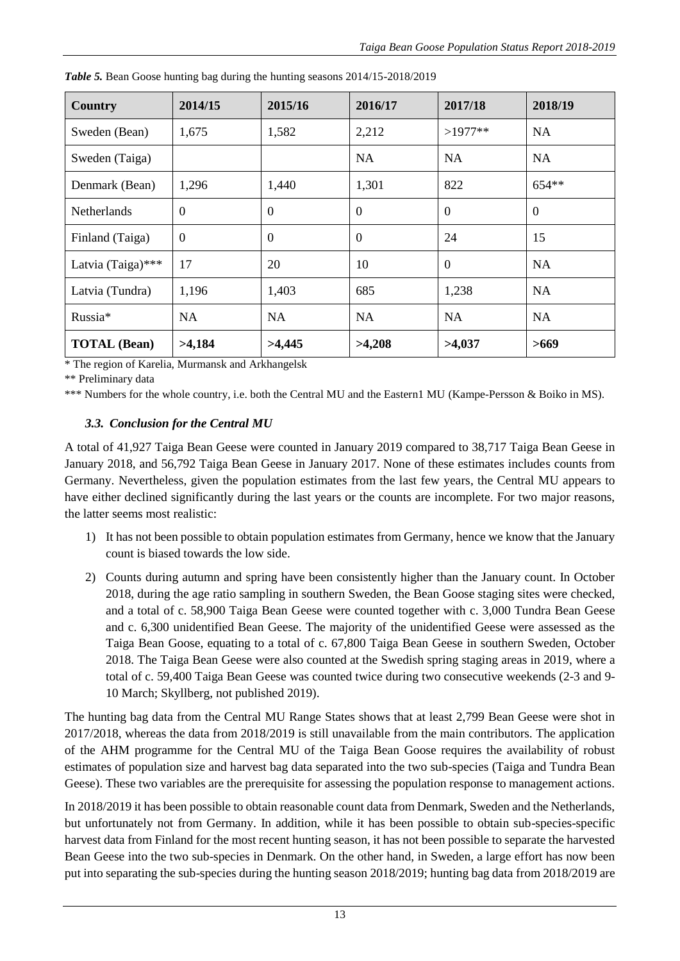| Country             | 2014/15        | 2015/16        | 2016/17          | 2017/18      | 2018/19        |
|---------------------|----------------|----------------|------------------|--------------|----------------|
| Sweden (Bean)       | 1,675          | 1,582          | 2,212            | $>1977**$    | <b>NA</b>      |
| Sweden (Taiga)      |                |                | NA               | NA           | NA             |
| Denmark (Bean)      | 1,296          | 1,440          | 1,301            | 822          | $654**$        |
| <b>Netherlands</b>  | $\overline{0}$ | $\overline{0}$ | $\boldsymbol{0}$ | $\mathbf{0}$ | $\overline{0}$ |
| Finland (Taiga)     | $\overline{0}$ | $\theta$       | $\boldsymbol{0}$ | 24           | 15             |
| Latvia (Taiga)***   | 17             | 20             | 10               | $\theta$     | <b>NA</b>      |
| Latvia (Tundra)     | 1,196          | 1,403          | 685              | 1,238        | <b>NA</b>      |
| Russia*             | <b>NA</b>      | <b>NA</b>      | <b>NA</b>        | <b>NA</b>    | <b>NA</b>      |
| <b>TOTAL</b> (Bean) | >4,184         | >4,445         | >4,208           | >4,037       | >669           |

*Table 5.* Bean Goose hunting bag during the hunting seasons 2014/15-2018/2019

\* The region of Karelia, Murmansk and Arkhangelsk

\*\* Preliminary data

\*\*\* Numbers for the whole country, i.e. both the Central MU and the Eastern1 MU (Kampe-Persson & Boiko in MS).

## *3.3. Conclusion for the Central MU*

A total of 41,927 Taiga Bean Geese were counted in January 2019 compared to 38,717 Taiga Bean Geese in January 2018, and 56,792 Taiga Bean Geese in January 2017. None of these estimates includes counts from Germany. Nevertheless, given the population estimates from the last few years, the Central MU appears to have either declined significantly during the last years or the counts are incomplete. For two major reasons, the latter seems most realistic:

- 1) It has not been possible to obtain population estimates from Germany, hence we know that the January count is biased towards the low side.
- 2) Counts during autumn and spring have been consistently higher than the January count. In October 2018, during the age ratio sampling in southern Sweden, the Bean Goose staging sites were checked, and a total of c. 58,900 Taiga Bean Geese were counted together with c. 3,000 Tundra Bean Geese and c. 6,300 unidentified Bean Geese. The majority of the unidentified Geese were assessed as the Taiga Bean Goose, equating to a total of c. 67,800 Taiga Bean Geese in southern Sweden, October 2018. The Taiga Bean Geese were also counted at the Swedish spring staging areas in 2019, where a total of c. 59,400 Taiga Bean Geese was counted twice during two consecutive weekends (2-3 and 9- 10 March; Skyllberg, not published 2019).

The hunting bag data from the Central MU Range States shows that at least 2,799 Bean Geese were shot in 2017/2018, whereas the data from 2018/2019 is still unavailable from the main contributors. The application of the AHM programme for the Central MU of the Taiga Bean Goose requires the availability of robust estimates of population size and harvest bag data separated into the two sub-species (Taiga and Tundra Bean Geese). These two variables are the prerequisite for assessing the population response to management actions.

In 2018/2019 it has been possible to obtain reasonable count data from Denmark, Sweden and the Netherlands, but unfortunately not from Germany. In addition, while it has been possible to obtain sub-species-specific harvest data from Finland for the most recent hunting season, it has not been possible to separate the harvested Bean Geese into the two sub-species in Denmark. On the other hand, in Sweden, a large effort has now been put into separating the sub-species during the hunting season 2018/2019; hunting bag data from 2018/2019 are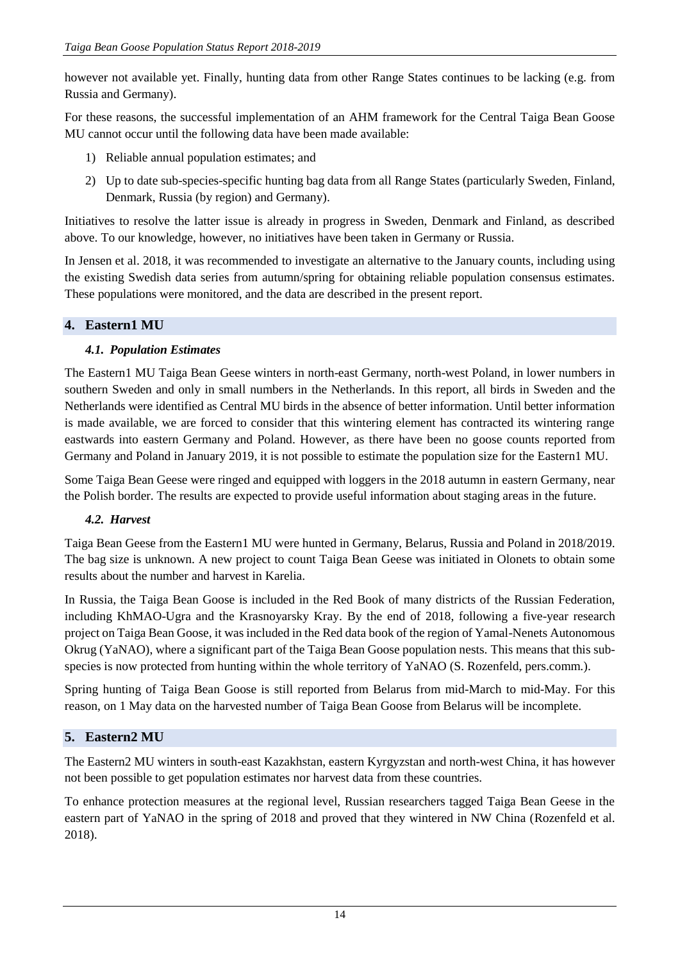however not available yet. Finally, hunting data from other Range States continues to be lacking (e.g. from Russia and Germany).

For these reasons, the successful implementation of an AHM framework for the Central Taiga Bean Goose MU cannot occur until the following data have been made available:

- 1) Reliable annual population estimates; and
- 2) Up to date sub-species-specific hunting bag data from all Range States (particularly Sweden, Finland, Denmark, Russia (by region) and Germany).

Initiatives to resolve the latter issue is already in progress in Sweden, Denmark and Finland, as described above. To our knowledge, however, no initiatives have been taken in Germany or Russia.

In Jensen et al. 2018, it was recommended to investigate an alternative to the January counts, including using the existing Swedish data series from autumn/spring for obtaining reliable population consensus estimates. These populations were monitored, and the data are described in the present report.

## **4. Eastern1 MU**

# *4.1. Population Estimates*

The Eastern1 MU Taiga Bean Geese winters in north-east Germany, north-west Poland, in lower numbers in southern Sweden and only in small numbers in the Netherlands. In this report, all birds in Sweden and the Netherlands were identified as Central MU birds in the absence of better information. Until better information is made available, we are forced to consider that this wintering element has contracted its wintering range eastwards into eastern Germany and Poland. However, as there have been no goose counts reported from Germany and Poland in January 2019, it is not possible to estimate the population size for the Eastern1 MU.

Some Taiga Bean Geese were ringed and equipped with loggers in the 2018 autumn in eastern Germany, near the Polish border. The results are expected to provide useful information about staging areas in the future.

# *4.2. Harvest*

Taiga Bean Geese from the Eastern1 MU were hunted in Germany, Belarus, Russia and Poland in 2018/2019. The bag size is unknown. A new project to count Taiga Bean Geese was initiated in Olonets to obtain some results about the number and harvest in Karelia.

In Russia, the Taiga Bean Goose is included in the Red Book of many districts of the Russian Federation, including KhMAO-Ugra and the Krasnoyarsky Kray. By the end of 2018, following a five-year research project on Taiga Bean Goose, it was included in the Red data book of the region of Yamal-Nenets Autonomous Okrug (YaNAO), where a significant part of the Taiga Bean Goose population nests. This means that this subspecies is now protected from hunting within the whole territory of YaNAO (S. Rozenfeld, pers.comm.).

Spring hunting of Taiga Bean Goose is still reported from Belarus from mid-March to mid-May. For this reason, on 1 May data on the harvested number of Taiga Bean Goose from Belarus will be incomplete.

# **5. Eastern2 MU**

The Eastern2 MU winters in south-east Kazakhstan, eastern Kyrgyzstan and north-west China, it has however not been possible to get population estimates nor harvest data from these countries.

To enhance protection measures at the regional level, Russian researchers tagged Taiga Bean Geese in the eastern part of YaNAO in the spring of 2018 and proved that they wintered in NW China (Rozenfeld et al. 2018).